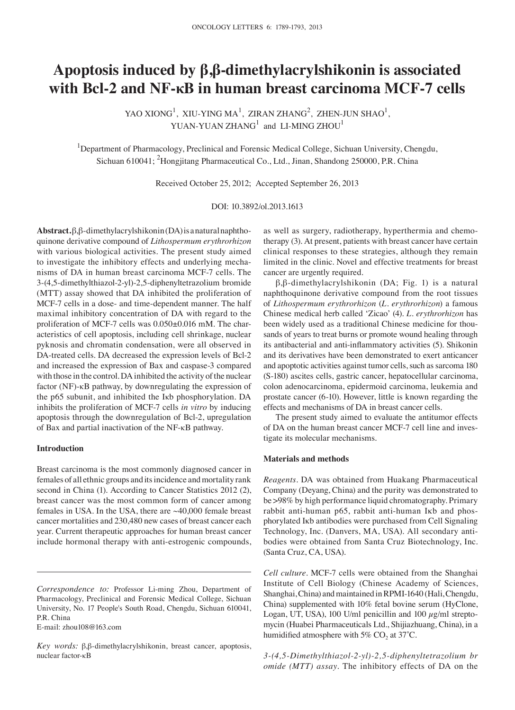# **Apoptosis induced by β,β‑dimethylacrylshikonin is associated with Bcl‑2 and NF‑κB in human breast carcinoma MCF‑7 cells**

YAO XIONG<sup>1</sup>, XIU-YING MA<sup>1</sup>, ZIRAN ZHANG<sup>2</sup>, ZHEN-JUN SHAO<sup>1</sup>, YUAN-YUAN  $ZHANG<sup>1</sup>$  and LI-MING  $ZHOU<sup>1</sup>$ 

<sup>1</sup>Department of Pharmacology, Preclinical and Forensic Medical College, Sichuan University, Chengdu, Sichuan 610041; <sup>2</sup>Hongjitang Pharmaceutical Co., Ltd., Jinan, Shandong 250000, P.R. China

Received October 25, 2012; Accepted September 26, 2013

DOI: 10.3892/ol.2013.1613

**Abstract.** β,β-dimethylacrylshikonin (DA) is a natural naphthoquinone derivative compound of *Lithospermum erythrorhizon* with various biological activities. The present study aimed to investigate the inhibitory effects and underlying mechanisms of DA in human breast carcinoma MCF-7 cells. The 3-(4,5-dimethylthiazol-2-yl)-2,5-diphenyltetrazolium bromide (MTT) assay showed that DA inhibited the proliferation of MCF-7 cells in a dose- and time-dependent manner. The half maximal inhibitory concentration of DA with regard to the proliferation of MCF-7 cells was 0.050±0.016 mM. The characteristics of cell apoptosis, including cell shrinkage, nuclear pyknosis and chromatin condensation, were all observed in DA-treated cells. DA decreased the expression levels of Bcl-2 and increased the expression of Bax and caspase-3 compared with those in the control. DA inhibited the activity of the nuclear factor (NF)-κB pathway, by downregulating the expression of the p65 subunit, and inhibited the Iκb phosphorylation. DA inhibits the proliferation of MCF-7 cells *in vitro* by inducing apoptosis through the downregulation of Bcl-2, upregulation of Bax and partial inactivation of the NF-κB pathway.

# **Introduction**

Breast carcinoma is the most commonly diagnosed cancer in females of all ethnic groups and its incidence and mortality rank second in China (1). According to Cancer Statistics 2012 (2), breast cancer was the most common form of cancer among females in USA. In the USA, there are ~40,000 female breast cancer mortalities and 230,480 new cases of breast cancer each year. Current therapeutic approaches for human breast cancer include hormonal therapy with anti-estrogenic compounds,

E-mail: zhou108@163.com

as well as surgery, radiotherapy, hyperthermia and chemotherapy (3). At present, patients with breast cancer have certain clinical responses to these strategies, although they remain limited in the clinic. Novel and effective treatments for breast cancer are urgently required.

β,β-dimethylacrylshikonin (DA; Fig. 1) is a natural naphthoquinone derivative compound from the root tissues of *Lithospermum erythrorhizon* (*L. erythrorhizon*) a famous Chinese medical herb called 'Zicao' (4). *L. erythrorhizon* has been widely used as a traditional Chinese medicine for thousands of years to treat burns or promote wound healing through its antibacterial and anti‑inflammatory activities (5). Shikonin and its derivatives have been demonstrated to exert anticancer and apoptotic activities against tumor cells, such as sarcoma 180 (S-180) ascites cells, gastric cancer, hepatocellular carcinoma, colon adenocarcinoma, epidermoid carcinoma, leukemia and prostate cancer (6-10). However, little is known regarding the effects and mechanisms of DA in breast cancer cells.

The present study aimed to evaluate the antitumor effects of DA on the human breast cancer MCF-7 cell line and investigate its molecular mechanisms.

### **Materials and methods**

*Reagents.* DA was obtained from Huakang Pharmaceutical Company (Deyang, China) and the purity was demonstrated to be >98% by high performance liquid chromatography. Primary rabbit anti-human p65, rabbit anti-human Iκb and phosphorylated Iκb antibodies were purchased from Cell Signaling Technology, Inc. (Danvers, MA, USA). All secondary antibodies were obtained from Santa Cruz Biotechnology, Inc. (Santa Cruz, CA, USA).

*Cell culture.* MCF-7 cells were obtained from the Shanghai Institute of Cell Biology (Chinese Academy of Sciences, Shanghai, China) and maintained in RPMI-1640 (Hali, Chengdu, China) supplemented with 10% fetal bovine serum (HyClone, Logan, UT, USA), 100 U/ml penicillin and 100  $\mu$ g/ml streptomycin (Huabei Pharmaceuticals Ltd., Shijiazhuang, China), in a humidified atmosphere with 5%  $CO<sub>2</sub>$  at 37°C.

*3‑(4,5‑Dimethylthiazol‑2‑yl)‑2,5‑diphenyltetrazolium br omide (MTT) assay.* The inhibitory effects of DA on the

*Correspondence to:* Professor Li-ming Zhou, Department of Pharmacology, Preclinical and Forensic Medical College, Sichuan University, No. 17 People's South Road, Chengdu, Sichuan 610041, P.R. China

*Key words:* β,β-dimethylacrylshikonin, breast cancer, apoptosis, nuclear factor-κB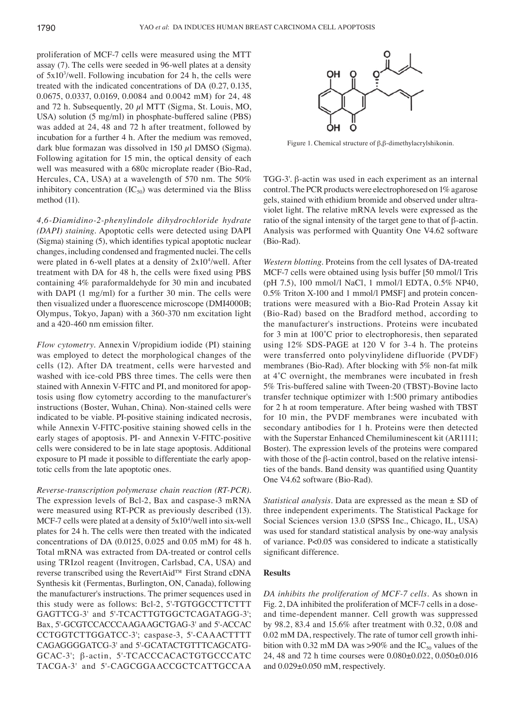proliferation of MCF-7 cells were measured using the MTT assay (7). The cells were seeded in 96-well plates at a density of 5x103 /well. Following incubation for 24 h, the cells were treated with the indicated concentrations of DA (0.27, 0.135, 0.0675, 0.0337, 0.0169, 0.0084 and 0.0042 mM) for 24, 48 and 72 h. Subsequently,  $20 \mu I$  MTT (Sigma, St. Louis, MO, USA) solution (5 mg/ml) in phosphate-buffered saline (PBS) was added at 24, 48 and 72 h after treatment, followed by incubation for a further 4 h. After the medium was removed, dark blue formazan was dissolved in 150  $\mu$ l DMSO (Sigma). Following agitation for 15 min, the optical density of each well was measured with a 680c microplate reader (Bio-Rad, Hercules, CA, USA) at a wavelength of 570 nm. The 50% inhibitory concentration  $(IC_{50})$  was determined via the Bliss method (11).

*4,6‑Diamidino‑2‑phenylindole dihydrochloride hydrate (DAPI) staining.* Apoptotic cells were detected using DAPI (Sigma) staining (5), which identifies typical apoptotic nuclear changes, including condensed and fragmented nuclei. The cells were plated in 6-well plates at a density of  $2x10<sup>4</sup>/well$ . After treatment with DA for 48 h, the cells were fixed using PBS containing 4% paraformaldehyde for 30 min and incubated with DAPI (1 mg/ml) for a further 30 min. The cells were then visualized under a fluorescence microscope (DMI4000B; Olympus, Tokyo, Japan) with a 360-370 nm excitation light and a 420‑460 nm emission filter.

*Flow cytometry.* Annexin V/propidium iodide (PI) staining was employed to detect the morphological changes of the cells (12). After DA treatment, cells were harvested and washed with ice-cold PBS three times. The cells were then stained with Annexin V-FITC and PI, and monitored for apoptosis using flow cytometry according to the manufacturer's instructions (Boster, Wuhan, China). Non-stained cells were indicated to be viable. PI-positive staining indicated necrosis, while Annexin V-FITC-positive staining showed cells in the early stages of apoptosis. PI- and Annexin V-FITC-positive cells were considered to be in late stage apoptosis. Additional exposure to PI made it possible to differentiate the early apoptotic cells from the late apoptotic ones.

*Reverse‑transcription polymerase chain reaction (RT‑PCR).*  The expression levels of Bcl-2, Bax and caspase-3 mRNA were measured using RT-PCR as previously described (13). MCF-7 cells were plated at a density of  $5x10<sup>4</sup>/well$  into six-well plates for 24 h. The cells were then treated with the indicated concentrations of DA (0.0125, 0.025 and 0.05 mM) for 48 h. Total mRNA was extracted from DA-treated or control cells using TRIzol reagent (Invitrogen, Carlsbad, CA, USA) and reverse transcribed using the RevertAid™ First Strand cDNA Synthesis kit (Fermentas, Burlington, ON, Canada), following the manufacturer's instructions. The primer sequences used in this study were as follows: Bcl-2, 5'-TGTGGCCTTCTTT GAGTTCG-3' and 5'-TCACTTGTGGCTCAGATAGG-3'; Bax, 5'-GCGTCCACCCAAGAAGCTGAG-3' and 5'-ACCAC CCTGGTCTTGGATCC-3'; caspase-3, 5'-CAAACTTTT CAGAGGGGATCG-3' and 5'-GCATACTGTTTCAGCATG-GCAC-3'; β-actin, 5'-TCACCCACACTGTGCCCATC TACGA-3' and 5'-CAGCGGAACCGCTCATTGCCAA



Figure 1. Chemical structure of β,β-dimethylacrylshikonin.

TGG-3'. β-actin was used in each experiment as an internal control. The PCR products were electrophoresed on 1% agarose gels, stained with ethidium bromide and observed under ultraviolet light. The relative mRNA levels were expressed as the ratio of the signal intensity of the target gene to that of β-actin. Analysis was performed with Quantity One V4.62 software (Bio-Rad).

*Western blotting.* Proteins from the cell lysates of DA-treated MCF-7 cells were obtained using lysis buffer [50 mmol/l Tris (pH 7.5), 100 mmol/l NaCl, 1 mmol/l EDTA, 0.5% NP40, 0.5% Triton X-100 and 1 mmol/l PMSF] and protein concentrations were measured with a Bio-Rad Protein Assay kit (Bio-Rad) based on the Bradford method, according to the manufacturer's instructions. Proteins were incubated for 3 min at 100˚C prior to electrophoresis, then separated using 12% SDS-PAGE at 120 V for 3-4 h. The proteins were transferred onto polyvinylidene difluoride (PVDF) membranes (Bio-Rad). After blocking with 5% non-fat milk at 4˚C overnight, the membranes were incubated in fresh 5% Tris-buffered saline with Tween-20 (TBST)-Bovine lacto transfer technique optimizer with 1:500 primary antibodies for 2 h at room temperature. After being washed with TBST for 10 min, the PVDF membranes were incubated with secondary antibodies for 1 h. Proteins were then detected with the Superstar Enhanced Chemiluminescent kit (AR1111; Boster). The expression levels of the proteins were compared with those of the β-actin control, based on the relative intensities of the bands. Band density was quantified using Quantity One V4.62 software (Bio-Rad).

*Statistical analysis.* Data are expressed as the mean ± SD of three independent experiments. The Statistical Package for Social Sciences version 13.0 (SPSS Inc., Chicago, IL, USA) was used for standard statistical analysis by one-way analysis of variance. P<0.05 was considered to indicate a statistically significant difference.

## **Results**

*DA inhibits the proliferation of MCF‑7 cells.* As shown in Fig. 2, DA inhibited the proliferation of MCF-7 cells in a doseand time-dependent manner. Cell growth was suppressed by 98.2, 83.4 and 15.6% after treatment with 0.32, 0.08 and 0.02 mM DA, respectively. The rate of tumor cell growth inhibition with 0.32 mM DA was >90% and the  $IC_{50}$  values of the 24, 48 and 72 h time courses were 0.080±0.022, 0.050±0.016 and 0.029±0.050 mM, respectively.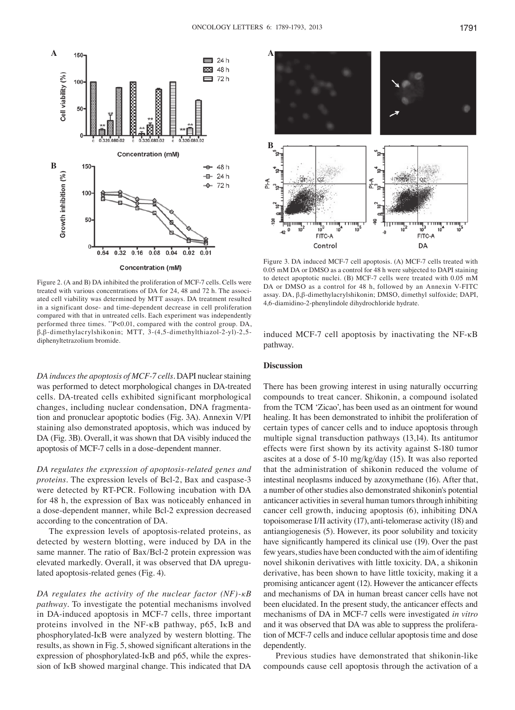

Figure 2. (A and B) DA inhibited the proliferation of MCF-7 cells. Cells were treated with various concentrations of DA for 24, 48 and 72 h. The associated cell viability was determined by MTT assays. DA treatment resulted in a significant dose- and time-dependent decrease in cell proliferation compared with that in untreated cells. Each experiment was independently performed three times. \*\*P<0.01, compared with the control group. DA, β,β-dimethylacrylshikonin; MTT, 3-(4,5-dimethylthiazol-2-yl)-2,5 diphenyltetrazolium bromide.

*DA induces the apoptosis of MCF‑7 cells.* DAPI nuclear staining was performed to detect morphological changes in DA-treated cells. DA-treated cells exhibited significant morphological changes, including nuclear condensation, DNA fragmentation and pronuclear apoptotic bodies (Fig. 3A). Annexin V/PI staining also demonstrated apoptosis, which was induced by DA (Fig. 3B). Overall, it was shown that DA visibly induced the apoptosis of MCF-7 cells in a dose-dependent manner.

*DA regulates the expression of apoptosis‑related genes and proteins.* The expression levels of Bcl-2, Bax and caspase-3 were detected by RT-PCR. Following incubation with DA for 48 h, the expression of Bax was noticeably enhanced in a dose-dependent manner, while Bcl-2 expression decreased according to the concentration of DA.

The expression levels of apoptosis-related proteins, as detected by western blotting, were induced by DA in the same manner. The ratio of Bax/Bcl-2 protein expression was elevated markedly. Overall, it was observed that DA upregulated apoptosis-related genes (Fig. 4).

*DA regulates the activity of the nuclear factor (NF)‑κB pathway.* To investigate the potential mechanisms involved in DA-induced apoptosis in MCF-7 cells, three important proteins involved in the NF-κB pathway, p65, IκB and phosphorylated-IκB were analyzed by western blotting. The results, as shown in Fig. 5, showed significant alterations in the expression of phosphorylated-IκB and p65, while the expression of IκB showed marginal change. This indicated that DA



Figure 3. DA induced MCF-7 cell apoptosis. (A) MCF-7 cells treated with 0.05 mM DA or DMSO as a control for 48 h were subjected to DAPI staining to detect apoptotic nuclei. (B) MCF-7 cells were treated with 0.05 mM DA or DMSO as a control for 48 h, followed by an Annexin V-FITC assay. DA, β,β-dimethylacrylshikonin; DMSO, dimethyl sulfoxide; DAPI, 4,6-diamidino-2-phenylindole dihydrochloride hydrate.

induced MCF-7 cell apoptosis by inactivating the NF-κB pathway.

### **Discussion**

There has been growing interest in using naturally occurring compounds to treat cancer. Shikonin, a compound isolated from the TCM 'Zicao', has been used as an ointment for wound healing. It has been demonstrated to inhibit the proliferation of certain types of cancer cells and to induce apoptosis through multiple signal transduction pathways (13,14). Its antitumor effects were first shown by its activity against S-180 tumor ascites at a dose of 5-10 mg/kg/day (15). It was also reported that the administration of shikonin reduced the volume of intestinal neoplasms induced by azoxymethane (16). After that, a number of other studies also demonstrated shikonin's potential anticancer activities in several human tumors through inhibiting cancer cell growth, inducing apoptosis (6), inhibiting DNA topoisomerase I/II activity (17), anti-telomerase activity (18) and antiangiogenesis (5). However, its poor solubility and toxicity have significantly hampered its clinical use (19). Over the past few years, studies have been conducted with the aim of identifing novel shikonin derivatives with little toxicity. DA, a shikonin derivative, has been shown to have little toxicity, making it a promising anticancer agent (12). However the anticancer effects and mechanisms of DA in human breast cancer cells have not been elucidated. In the present study, the anticancer effects and mechanisms of DA in MCF-7 cells were investigated *in vitro* and it was observed that DA was able to suppress the proliferation of MCF-7 cells and induce cellular apoptosis time and dose dependently.

Previous studies have demonstrated that shikonin-like compounds cause cell apoptosis through the activation of a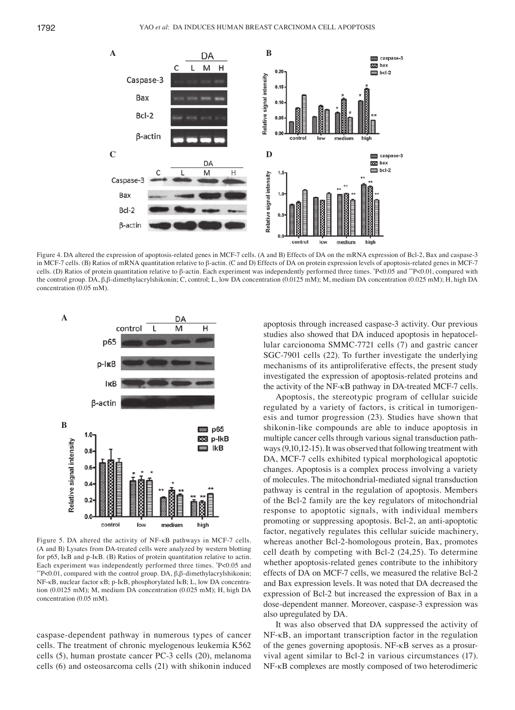

Figure 4. DA altered the expression of apoptosis-related genes in MCF-7 cells. (A and B) Effects of DA on the mRNA expression of Bcl-2, Bax and caspase-3 in MCF-7 cells. (B) Ratios of mRNA quantitation relative to β-actin. (C and D) Effects of DA on protein expression levels of apoptosis-related genes in MCF-7 cells. (D) Ratios of protein quantitation relative to β-actin. Each experiment was independently performed three times. \* P<0.05 and \*\*P<0.01, compared with the control group. DA, β,β-dimethylacrylshikonin; C, control; L, low DA concentration (0.0125 mM); M, medium DA concentration (0.025 mM); H, high DA concentration (0.05 mM).



Figure 5. DA altered the activity of NF-κB pathways in MCF-7 cells. (A and B) Lysates from DA-treated cells were analyzed by western blotting for p65, IκB and p-IκB. (B) Ratios of protein quantitation relative to actin. Each experiment was independently performed three times. \*P<0.05 and <sup>\*\*</sup>P<0.01, compared with the control group. DA, β,β-dimethylacrylshikonin; NF-κB, nuclear factor κB; p-IκB, phosphorylated IκB; L, low DA concentration (0.0125 mM); M, medium DA concentration (0.025 mM); H, high DA concentration (0.05 mM).

caspase-dependent pathway in numerous types of cancer cells. The treatment of chronic myelogenous leukemia K562 cells (5), human prostate cancer PC-3 cells (20), melanoma cells (6) and osteosarcoma cells (21) with shikonin induced apoptosis through increased caspase-3 activity. Our previous studies also showed that DA induced apoptosis in hepatocellular carcionoma SMMC-7721 cells (7) and gastric cancer SGC-7901 cells (22). To further investigate the underlying mechanisms of its antiproliferative effects, the present study investigated the expression of apoptosis-related proteins and the activity of the NF-κB pathway in DA-treated MCF-7 cells.

Apoptosis, the stereotypic program of cellular suicide regulated by a variety of factors, is critical in tumorigenesis and tumor progression (23). Studies have shown that shikonin-like compounds are able to induce apoptosis in multiple cancer cells through various signal transduction pathways(9,10,12-15). It was observed that following treatment with DA, MCF-7 cells exhibited typical morphological apoptotic changes. Apoptosis is a complex process involving a variety of molecules. The mitochondrial-mediated signal transduction pathway is central in the regulation of apoptosis. Members of the Bcl-2 family are the key regulators of mitochondrial response to apoptotic signals, with individual members promoting or suppressing apoptosis. Bcl-2, an anti-apoptotic factor, negatively regulates this cellular suicide machinery, whereas another Bcl-2-homologous protein, Bax, promotes cell death by competing with Bcl-2 (24,25). To determine whether apoptosis-related genes contribute to the inhibitory effects of DA on MCF-7 cells, we measured the relative Bcl-2 and Bax expression levels. It was noted that DA decreased the expression of Bcl-2 but increased the expression of Bax in a dose-dependent manner. Moreover, caspase-3 expression was also upregulated by DA.

It was also observed that DA suppressed the activity of NF-κB, an important transcription factor in the regulation of the genes governing apoptosis. NF-κB serves as a prosurvival agent similar to Bcl-2 in various circumstances (17). NF-κB complexes are mostly composed of two heterodimeric